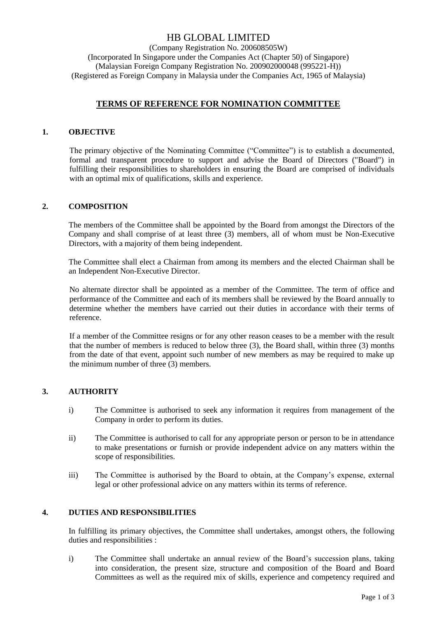# HB GLOBAL LIMITED

(Company Registration No. 200608505W) (Incorporated In Singapore under the Companies Act (Chapter 50) of Singapore) (Malaysian Foreign Company Registration No. 200902000048 (995221-H)) (Registered as Foreign Company in Malaysia under the Companies Act, 1965 of Malaysia)

## **TERMS OF REFERENCE FOR NOMINATION COMMITTEE**

### **1. OBJECTIVE**

The primary objective of the Nominating Committee ("Committee") is to establish a documented, formal and transparent procedure to support and advise the Board of Directors ("Board") in fulfilling their responsibilities to shareholders in ensuring the Board are comprised of individuals with an optimal mix of qualifications, skills and experience.

### **2. COMPOSITION**

The members of the Committee shall be appointed by the Board from amongst the Directors of the Company and shall comprise of at least three (3) members, all of whom must be Non-Executive Directors, with a majority of them being independent.

The Committee shall elect a Chairman from among its members and the elected Chairman shall be an Independent Non-Executive Director.

No alternate director shall be appointed as a member of the Committee. The term of office and performance of the Committee and each of its members shall be reviewed by the Board annually to determine whether the members have carried out their duties in accordance with their terms of reference.

If a member of the Committee resigns or for any other reason ceases to be a member with the result that the number of members is reduced to below three (3), the Board shall, within three (3) months from the date of that event, appoint such number of new members as may be required to make up the minimum number of three (3) members.

### **3. AUTHORITY**

- i) The Committee is authorised to seek any information it requires from management of the Company in order to perform its duties.
- ii) The Committee is authorised to call for any appropriate person or person to be in attendance to make presentations or furnish or provide independent advice on any matters within the scope of responsibilities.
- iii) The Committee is authorised by the Board to obtain, at the Company's expense, external legal or other professional advice on any matters within its terms of reference.

### **4. DUTIES AND RESPONSIBILITIES**

In fulfilling its primary objectives, the Committee shall undertakes, amongst others, the following duties and responsibilities :

i) The Committee shall undertake an annual review of the Board's succession plans, taking into consideration, the present size, structure and composition of the Board and Board Committees as well as the required mix of skills, experience and competency required and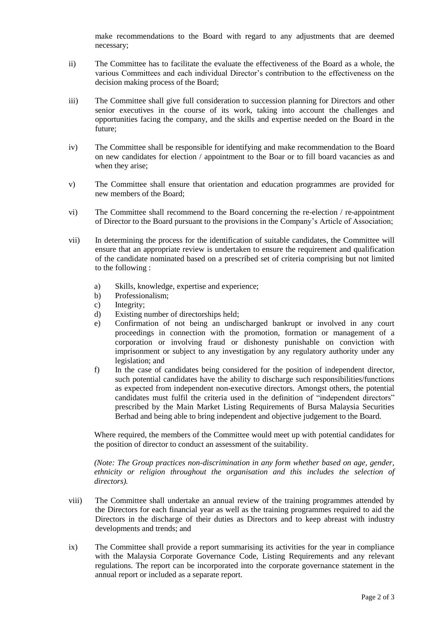make recommendations to the Board with regard to any adjustments that are deemed necessary;

- ii) The Committee has to facilitate the evaluate the effectiveness of the Board as a whole, the various Committees and each individual Director's contribution to the effectiveness on the decision making process of the Board;
- iii) The Committee shall give full consideration to succession planning for Directors and other senior executives in the course of its work, taking into account the challenges and opportunities facing the company, and the skills and expertise needed on the Board in the future;
- iv) The Committee shall be responsible for identifying and make recommendation to the Board on new candidates for election / appointment to the Boar or to fill board vacancies as and when they arise;
- v) The Committee shall ensure that orientation and education programmes are provided for new members of the Board;
- vi) The Committee shall recommend to the Board concerning the re-election / re-appointment of Director to the Board pursuant to the provisions in the Company's Article of Association;
- vii) In determining the process for the identification of suitable candidates, the Committee will ensure that an appropriate review is undertaken to ensure the requirement and qualification of the candidate nominated based on a prescribed set of criteria comprising but not limited to the following :
	- a) Skills, knowledge, expertise and experience;
	- b) Professionalism;
	- c) Integrity;
	- d) Existing number of directorships held;
	- e) Confirmation of not being an undischarged bankrupt or involved in any court proceedings in connection with the promotion, formation or management of a corporation or involving fraud or dishonesty punishable on conviction with imprisonment or subject to any investigation by any regulatory authority under any legislation; and
	- f) In the case of candidates being considered for the position of independent director, such potential candidates have the ability to discharge such responsibilities/functions as expected from independent non-executive directors. Amongst others, the potential candidates must fulfil the criteria used in the definition of "independent directors" prescribed by the Main Market Listing Requirements of Bursa Malaysia Securities Berhad and being able to bring independent and objective judgement to the Board.

Where required, the members of the Committee would meet up with potential candidates for the position of director to conduct an assessment of the suitability.

*(Note: The Group practices non-discrimination in any form whether based on age, gender, ethnicity or religion throughout the organisation and this includes the selection of directors).*

- viii) The Committee shall undertake an annual review of the training programmes attended by the Directors for each financial year as well as the training programmes required to aid the Directors in the discharge of their duties as Directors and to keep abreast with industry developments and trends; and
- ix) The Committee shall provide a report summarising its activities for the year in compliance with the Malaysia Corporate Governance Code, Listing Requirements and any relevant regulations. The report can be incorporated into the corporate governance statement in the annual report or included as a separate report.